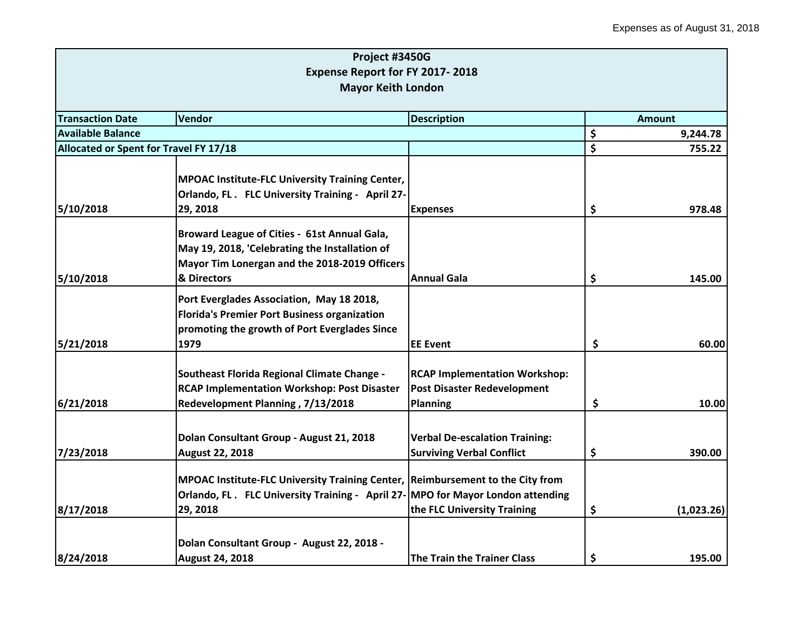|                                        | Project #3450G                                                                 |                                       |               |            |
|----------------------------------------|--------------------------------------------------------------------------------|---------------------------------------|---------------|------------|
|                                        | Expense Report for FY 2017-2018                                                |                                       |               |            |
|                                        | <b>Mayor Keith London</b>                                                      |                                       |               |            |
|                                        |                                                                                |                                       |               |            |
| <b>Transaction Date</b>                | Vendor                                                                         | <b>Description</b>                    | <b>Amount</b> |            |
| <b>Available Balance</b>               |                                                                                |                                       | \$            | 9,244.78   |
| Allocated or Spent for Travel FY 17/18 |                                                                                |                                       | \$            | 755.22     |
|                                        |                                                                                |                                       |               |            |
|                                        | <b>MPOAC Institute-FLC University Training Center,</b>                         |                                       |               |            |
|                                        | Orlando, FL. FLC University Training - April 27-                               |                                       |               |            |
| 5/10/2018                              | 29, 2018                                                                       | <b>Expenses</b>                       | \$            | 978.48     |
|                                        | Broward League of Cities - 61st Annual Gala,                                   |                                       |               |            |
|                                        | May 19, 2018, 'Celebrating the Installation of                                 |                                       |               |            |
|                                        | Mayor Tim Lonergan and the 2018-2019 Officers                                  |                                       |               |            |
| 5/10/2018                              | & Directors                                                                    | Annual Gala                           | \$            | 145.00     |
|                                        | Port Everglades Association, May 18 2018,                                      |                                       |               |            |
|                                        | <b>Florida's Premier Port Business organization</b>                            |                                       |               |            |
|                                        | promoting the growth of Port Everglades Since                                  |                                       |               |            |
| 5/21/2018                              | 1979                                                                           | <b>EE Event</b>                       | \$            | 60.00      |
|                                        |                                                                                |                                       |               |            |
|                                        | Southeast Florida Regional Climate Change -                                    | <b>RCAP Implementation Workshop:</b>  |               |            |
|                                        | <b>RCAP Implementation Workshop: Post Disaster</b>                             | <b>Post Disaster Redevelopment</b>    |               |            |
| 6/21/2018                              | Redevelopment Planning, 7/13/2018                                              | <b>Planning</b>                       | \$            | 10.00      |
|                                        |                                                                                |                                       |               |            |
|                                        | Dolan Consultant Group - August 21, 2018                                       | <b>Verbal De-escalation Training:</b> |               |            |
| 7/23/2018                              | <b>August 22, 2018</b>                                                         | <b>Surviving Verbal Conflict</b>      | \$            | 390.00     |
|                                        | MPOAC Institute-FLC University Training Center, Reimbursement to the City from |                                       |               |            |
|                                        | Orlando, FL. FLC University Training - April 27-MPO for Mayor London attending |                                       |               |            |
| 8/17/2018                              | 29, 2018                                                                       | the FLC University Training           | \$            | (1,023.26) |
|                                        |                                                                                |                                       |               |            |
|                                        | Dolan Consultant Group - August 22, 2018 -                                     |                                       |               |            |
| 8/24/2018                              | <b>August 24, 2018</b>                                                         | <b>The Train the Trainer Class</b>    | \$            | 195.00     |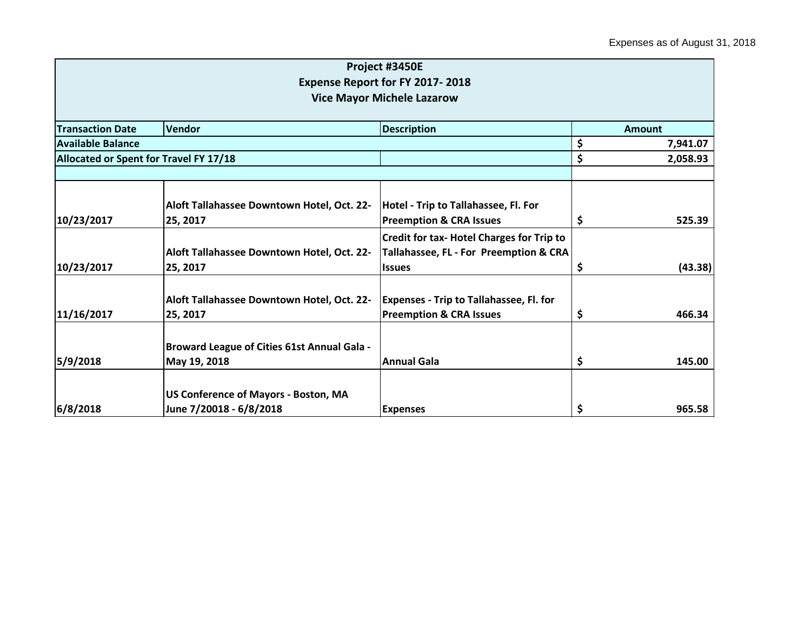|                          |                                                    | Project #3450E                                   |     |               |
|--------------------------|----------------------------------------------------|--------------------------------------------------|-----|---------------|
|                          |                                                    | <b>Expense Report for FY 2017-2018</b>           |     |               |
|                          |                                                    | <b>Vice Mayor Michele Lazarow</b>                |     |               |
|                          |                                                    |                                                  |     |               |
| <b>Transaction Date</b>  | Vendor                                             | <b>Description</b>                               |     | <b>Amount</b> |
| <b>Available Balance</b> |                                                    |                                                  | \$  | 7,941.07      |
|                          | Allocated or Spent for Travel FY 17/18             |                                                  |     | 2,058.93      |
|                          |                                                    |                                                  |     |               |
|                          | Aloft Tallahassee Downtown Hotel, Oct. 22-         | Hotel - Trip to Tallahassee, Fl. For             |     |               |
| 10/23/2017               | 25, 2017                                           | <b>Preemption &amp; CRA Issues</b>               | Ş   | 525.39        |
|                          |                                                    | <b>Credit for tax- Hotel Charges for Trip to</b> |     |               |
|                          | Aloft Tallahassee Downtown Hotel, Oct. 22-         | Tallahassee, FL - For Preemption & CRA           |     |               |
| 10/23/2017               | 25, 2017                                           | <b>Issues</b>                                    | \$, | (43.38)       |
|                          | Aloft Tallahassee Downtown Hotel, Oct. 22-         | <b>Expenses - Trip to Tallahassee, Fl. for</b>   |     |               |
| 11/16/2017               | 25, 2017                                           | <b>Preemption &amp; CRA Issues</b>               | \$  | 466.34        |
|                          | <b>Broward League of Cities 61st Annual Gala -</b> |                                                  |     |               |
| 5/9/2018                 | May 19, 2018                                       | Annual Gala                                      | \$  | 145.00        |
|                          |                                                    |                                                  |     |               |
|                          | US Conference of Mayors - Boston, MA               |                                                  |     |               |
| 6/8/2018                 | June 7/20018 - 6/8/2018                            | <b>Expenses</b>                                  | \$  | 965.58        |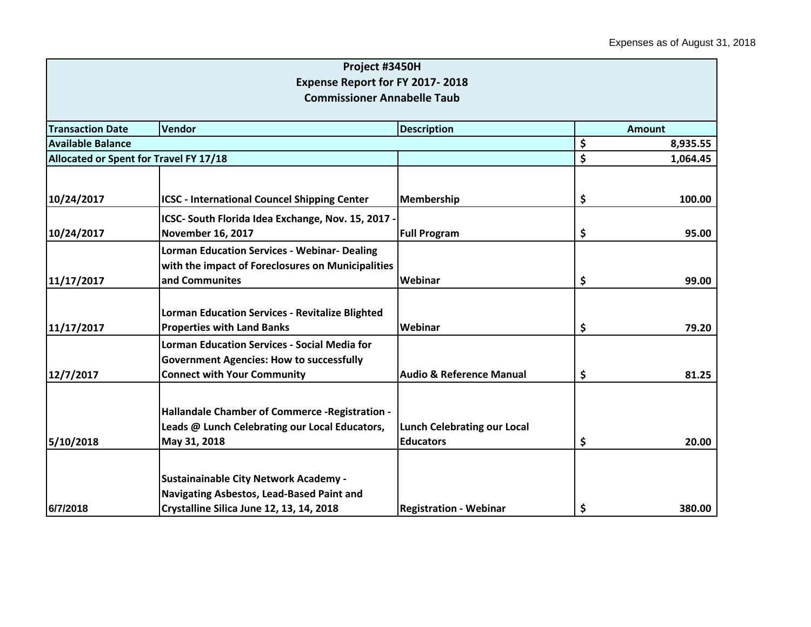|                                        | Project #3450H                                         |                                     |                |
|----------------------------------------|--------------------------------------------------------|-------------------------------------|----------------|
|                                        | <b>Expense Report for FY 2017-2018</b>                 |                                     |                |
|                                        | <b>Commissioner Annabelle Taub</b>                     |                                     |                |
|                                        |                                                        |                                     |                |
| <b>Transaction Date</b>                | <b>Vendor</b><br><b>Description</b>                    |                                     | <b>Amount</b>  |
| <b>Available Balance</b>               |                                                        |                                     | \$<br>8,935.55 |
| Allocated or Spent for Travel FY 17/18 |                                                        |                                     | \$<br>1,064.45 |
|                                        |                                                        |                                     |                |
| 10/24/2017                             | <b>ICSC - International Councel Shipping Center</b>    | <b>Membership</b>                   | \$<br>100.00   |
|                                        | ICSC- South Florida Idea Exchange, Nov. 15, 2017 -     |                                     |                |
| 10/24/2017                             | <b>November 16, 2017</b>                               | <b>Full Program</b>                 | \$<br>95.00    |
|                                        | <b>Lorman Education Services - Webinar- Dealing</b>    |                                     |                |
|                                        | with the impact of Foreclosures on Municipalities      |                                     |                |
| 11/17/2017                             | and Communites                                         | Webinar                             | \$<br>99.00    |
|                                        |                                                        |                                     |                |
|                                        | <b>Lorman Education Services - Revitalize Blighted</b> |                                     |                |
| 11/17/2017                             | <b>Properties with Land Banks</b>                      | Webinar                             | \$<br>79.20    |
|                                        | <b>Lorman Education Services - Social Media for</b>    |                                     |                |
|                                        | <b>Government Agencies: How to successfully</b>        |                                     |                |
| 12/7/2017                              | <b>Connect with Your Community</b>                     | <b>Audio &amp; Reference Manual</b> | \$<br>81.25    |
|                                        |                                                        |                                     |                |
|                                        | Hallandale Chamber of Commerce - Registration -        |                                     |                |
|                                        | Leads @ Lunch Celebrating our Local Educators,         | <b>Lunch Celebrating our Local</b>  |                |
| 5/10/2018                              | May 31, 2018                                           | <b>Educators</b>                    | \$<br>20.00    |
|                                        |                                                        |                                     |                |
|                                        | <b>Sustainainable City Network Academy -</b>           |                                     |                |
|                                        | Navigating Asbestos, Lead-Based Paint and              |                                     |                |
| 6/7/2018                               | Crystalline Silica June 12, 13, 14, 2018               | <b>Registration - Webinar</b>       | \$<br>380.00   |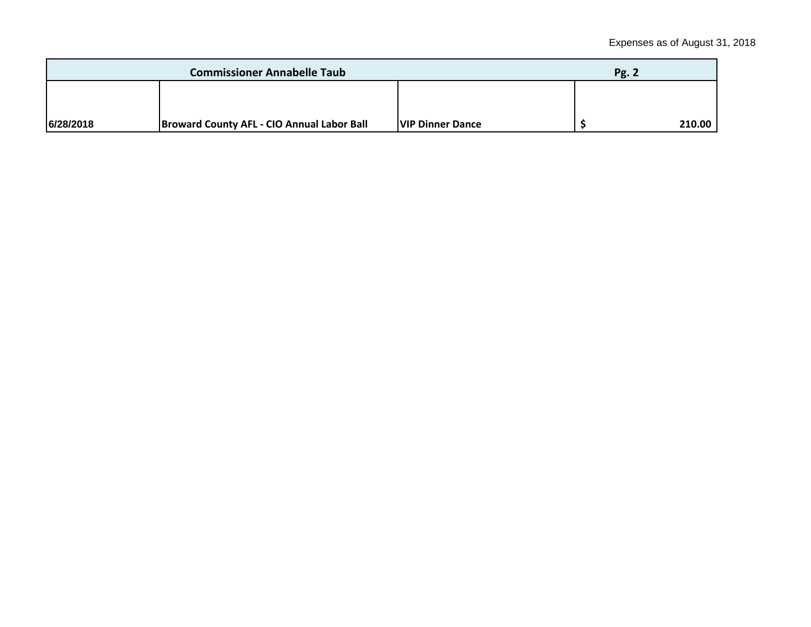| <b>Commissioner Annabelle Taub</b> |                                                   |                         | Pg. 2 |        |
|------------------------------------|---------------------------------------------------|-------------------------|-------|--------|
|                                    |                                                   |                         |       |        |
|                                    |                                                   |                         |       |        |
| 6/28/2018                          | <b>Broward County AFL - CIO Annual Labor Ball</b> | <b>VIP Dinner Dance</b> |       | 210.00 |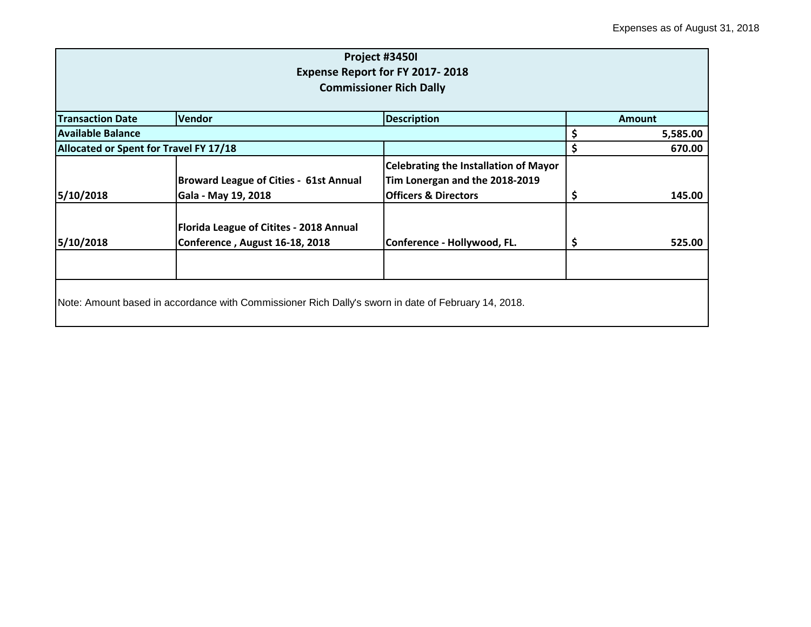| Project #3450I<br><b>Expense Report for FY 2017-2018</b><br><b>Commissioner Rich Dally</b> |                                                                                                     |                                                                                                                   |    |               |  |
|--------------------------------------------------------------------------------------------|-----------------------------------------------------------------------------------------------------|-------------------------------------------------------------------------------------------------------------------|----|---------------|--|
| <b>Transaction Date</b>                                                                    | <b>Vendor</b>                                                                                       | <b>Description</b>                                                                                                |    | <b>Amount</b> |  |
| <b>Available Balance</b>                                                                   |                                                                                                     |                                                                                                                   |    | 5,585.00      |  |
| Allocated or Spent for Travel FY 17/18                                                     |                                                                                                     |                                                                                                                   | \$ | 670.00        |  |
| 5/10/2018                                                                                  | <b>Broward League of Cities - 61st Annual</b><br>Gala - May 19, 2018                                | <b>Celebrating the Installation of Mayor</b><br>Tim Lonergan and the 2018-2019<br><b>Officers &amp; Directors</b> | ⋗  | 145.00        |  |
| 5/10/2018                                                                                  | Florida League of Citites - 2018 Annual<br>Conference, August 16-18, 2018                           | Conference - Hollywood, FL.                                                                                       | \$ | 525.00        |  |
|                                                                                            | Note: Amount based in accordance with Commissioner Rich Dally's sworn in date of February 14, 2018. |                                                                                                                   |    |               |  |